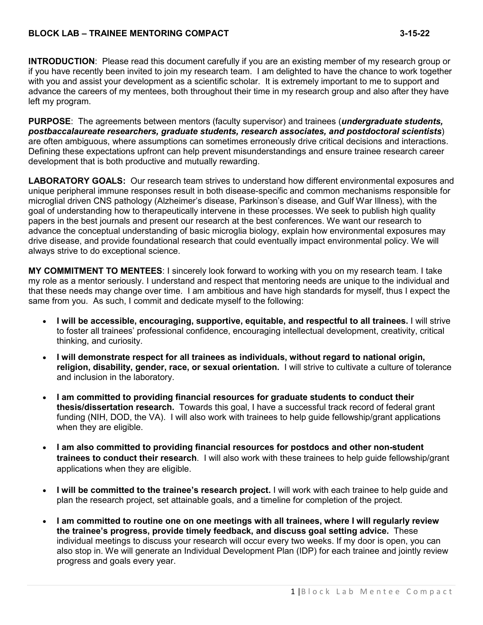### **BLOCK LAB – TRAINEE MENTORING COMPACT 3-15-22**

**INTRODUCTION**: Please read this document carefully if you are an existing member of my research group or if you have recently been invited to join my research team. I am delighted to have the chance to work together with you and assist your development as a scientific scholar. It is extremely important to me to support and advance the careers of my mentees, both throughout their time in my research group and also after they have left my program.

**PURPOSE**: The agreements between mentors (faculty supervisor) and trainees (*undergraduate students, postbaccalaureate researchers, graduate students, research associates, and postdoctoral scientists*) are often ambiguous, where assumptions can sometimes erroneously drive critical decisions and interactions. Defining these expectations upfront can help prevent misunderstandings and ensure trainee research career development that is both productive and mutually rewarding.

**LABORATORY GOALS:** Our research team strives to understand how different environmental exposures and unique peripheral immune responses result in both disease-specific and common mechanisms responsible for microglial driven CNS pathology (Alzheimer's disease, Parkinson's disease, and Gulf War Illness), with the goal of understanding how to therapeutically intervene in these processes. We seek to publish high quality papers in the best journals and present our research at the best conferences. We want our research to advance the conceptual understanding of basic microglia biology, explain how environmental exposures may drive disease, and provide foundational research that could eventually impact environmental policy. We will always strive to do exceptional science.

**MY COMMITMENT TO MENTEES**: I sincerely look forward to working with you on my research team. I take my role as a mentor seriously. I understand and respect that mentoring needs are unique to the individual and that these needs may change over time. I am ambitious and have high standards for myself, thus I expect the same from you. As such, I commit and dedicate myself to the following:

- **I will be accessible, encouraging, supportive, equitable, and respectful to all trainees.** I will strive to foster all trainees' professional confidence, encouraging intellectual development, creativity, critical thinking, and curiosity.
- **I will demonstrate respect for all trainees as individuals, without regard to national origin, religion, disability, gender, race, or sexual orientation.** I will strive to cultivate a culture of tolerance and inclusion in the laboratory.
- **I am committed to providing financial resources for graduate students to conduct their thesis/dissertation research.** Towards this goal, I have a successful track record of federal grant funding (NIH, DOD, the VA). I will also work with trainees to help guide fellowship/grant applications when they are eligible.
- **I am also committed to providing financial resources for postdocs and other non-student trainees to conduct their research**. I will also work with these trainees to help guide fellowship/grant applications when they are eligible.
- **I will be committed to the trainee's research project.** I will work with each trainee to help guide and plan the research project, set attainable goals, and a timeline for completion of the project.
- **I am committed to routine one on one meetings with all trainees, where I will regularly review the trainee's progress, provide timely feedback, and discuss goal setting advice.** These individual meetings to discuss your research will occur every two weeks. If my door is open, you can also stop in. We will generate an Individual Development Plan (IDP) for each trainee and jointly review progress and goals every year.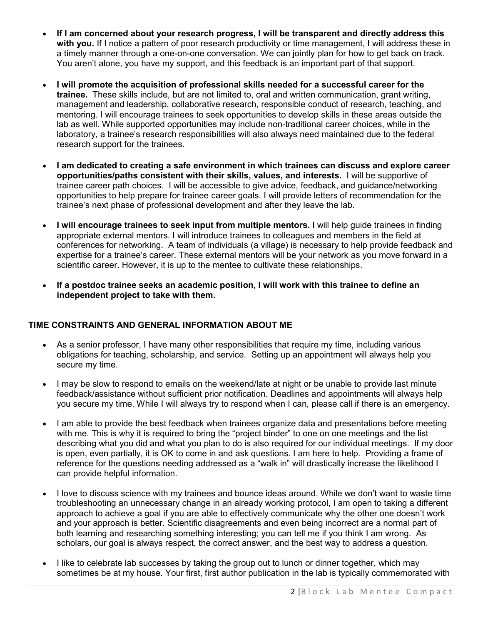- **If I am concerned about your research progress, I will be transparent and directly address this**  with you. If I notice a pattern of poor research productivity or time management, I will address these in a timely manner through a one-on-one conversation. We can jointly plan for how to get back on track. You aren't alone, you have my support, and this feedback is an important part of that support.
- **I will promote the acquisition of professional skills needed for a successful career for the trainee.** These skills include, but are not limited to, oral and written communication, grant writing, management and leadership, collaborative research, responsible conduct of research, teaching, and mentoring. I will encourage trainees to seek opportunities to develop skills in these areas outside the lab as well. While supported opportunities may include non-traditional career choices, while in the laboratory, a trainee's research responsibilities will also always need maintained due to the federal research support for the trainees.
- **I am dedicated to creating a safe environment in which trainees can discuss and explore career opportunities/paths consistent with their skills, values, and interests.** I will be supportive of trainee career path choices. I will be accessible to give advice, feedback, and guidance/networking opportunities to help prepare for trainee career goals. I will provide letters of recommendation for the trainee's next phase of professional development and after they leave the lab.
- **I will encourage trainees to seek input from multiple mentors.** I will help guide trainees in finding appropriate external mentors. I will introduce trainees to colleagues and members in the field at conferences for networking. A team of individuals (a village) is necessary to help provide feedback and expertise for a trainee's career. These external mentors will be your network as you move forward in a scientific career. However, it is up to the mentee to cultivate these relationships.
- **If a postdoc trainee seeks an academic position, I will work with this trainee to define an independent project to take with them.**

# **TIME CONSTRAINTS AND GENERAL INFORMATION ABOUT ME**

- As a senior professor, I have many other responsibilities that require my time, including various obligations for teaching, scholarship, and service. Setting up an appointment will always help you secure my time.
- I may be slow to respond to emails on the weekend/late at night or be unable to provide last minute feedback/assistance without sufficient prior notification. Deadlines and appointments will always help you secure my time. While I will always try to respond when I can, please call if there is an emergency.
- I am able to provide the best feedback when trainees organize data and presentations before meeting with me. This is why it is required to bring the "project binder" to one on one meetings and the list describing what you did and what you plan to do is also required for our individual meetings. If my door is open, even partially, it is OK to come in and ask questions. I am here to help. Providing a frame of reference for the questions needing addressed as a "walk in" will drastically increase the likelihood I can provide helpful information.
- I love to discuss science with my trainees and bounce ideas around. While we don't want to waste time troubleshooting an unnecessary change in an already working protocol, I am open to taking a different approach to achieve a goal if you are able to effectively communicate why the other one doesn't work and your approach is better. Scientific disagreements and even being incorrect are a normal part of both learning and researching something interesting; you can tell me if you think I am wrong. As scholars, our goal is always respect, the correct answer, and the best way to address a question.
- I like to celebrate lab successes by taking the group out to lunch or dinner together, which may sometimes be at my house. Your first, first author publication in the lab is typically commemorated with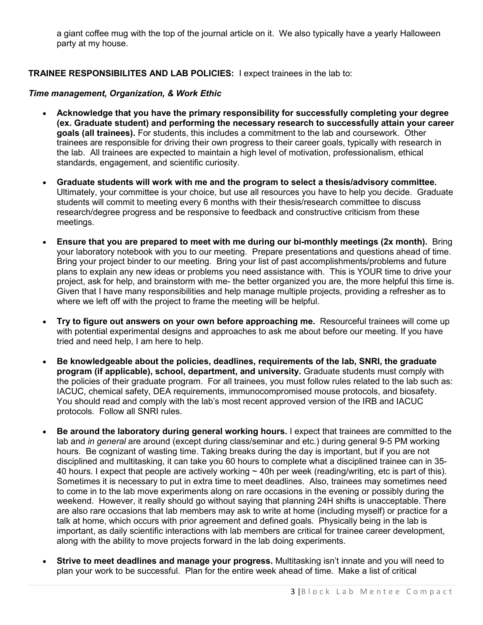a giant coffee mug with the top of the journal article on it. We also typically have a yearly Halloween party at my house.

## **TRAINEE RESPONSIBILITES AND LAB POLICIES:** I expect trainees in the lab to:

#### *Time management, Organization, & Work Ethic*

- **Acknowledge that you have the primary responsibility for successfully completing your degree (ex. Graduate student) and performing the necessary research to successfully attain your career goals (all trainees).** For students, this includes a commitment to the lab and coursework. Other trainees are responsible for driving their own progress to their career goals, typically with research in the lab. All trainees are expected to maintain a high level of motivation, professionalism, ethical standards, engagement, and scientific curiosity.
- **Graduate students will work with me and the program to select a thesis/advisory committee.** Ultimately, your committee is your choice, but use all resources you have to help you decide.Graduate students will commit to meeting every 6 months with their thesis/research committee to discuss research/degree progress and be responsive to feedback and constructive criticism from these meetings.
- **Ensure that you are prepared to meet with me during our bi-monthly meetings (2x month).** Bring your laboratory notebook with you to our meeting. Prepare presentations and questions ahead of time. Bring your project binder to our meeting. Bring your list of past accomplishments/problems and future plans to explain any new ideas or problems you need assistance with. This is YOUR time to drive your project, ask for help, and brainstorm with me- the better organized you are, the more helpful this time is. Given that I have many responsibilities and help manage multiple projects, providing a refresher as to where we left off with the project to frame the meeting will be helpful.
- **Try to figure out answers on your own before approaching me.** Resourceful trainees will come up with potential experimental designs and approaches to ask me about before our meeting. If you have tried and need help, I am here to help.
- **Be knowledgeable about the policies, deadlines, requirements of the lab, SNRI, the graduate program (if applicable), school, department, and university.** Graduate students must comply with the policies of their graduate program. For all trainees, you must follow rules related to the lab such as: IACUC, chemical safety, DEA requirements, immunocompromised mouse protocols, and biosafety. You should read and comply with the lab's most recent approved version of the IRB and IACUC protocols. Follow all SNRI rules.
- **Be around the laboratory during general working hours.** I expect that trainees are committed to the lab and *in general* are around (except during class/seminar and etc.) during general 9-5 PM working hours. Be cognizant of wasting time. Taking breaks during the day is important, but if you are not disciplined and multitasking, it can take you 60 hours to complete what a disciplined trainee can in 35- 40 hours. I expect that people are actively working ~ 40h per week (reading/writing, etc is part of this). Sometimes it is necessary to put in extra time to meet deadlines. Also, trainees may sometimes need to come in to the lab move experiments along on rare occasions in the evening or possibly during the weekend. However, it really should go without saying that planning 24H shifts is unacceptable. There are also rare occasions that lab members may ask to write at home (including myself) or practice for a talk at home, which occurs with prior agreement and defined goals. Physically being in the lab is important, as daily scientific interactions with lab members are critical for trainee career development, along with the ability to move projects forward in the lab doing experiments.
- **Strive to meet deadlines and manage your progress.** Multitasking isn't innate and you will need to plan your work to be successful. Plan for the entire week ahead of time.Make a list of critical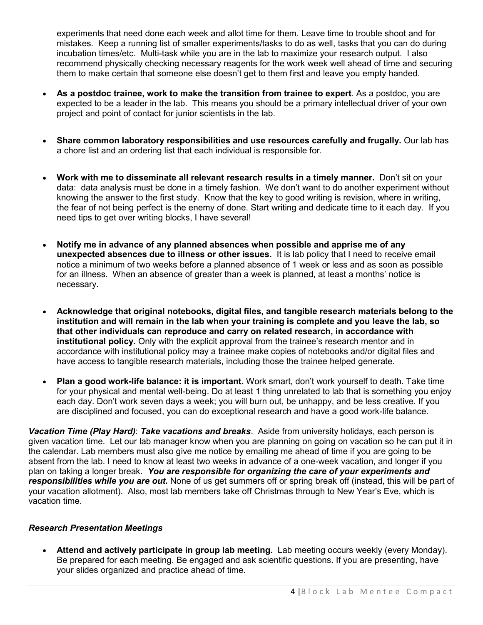experiments that need done each week and allot time for them. Leave time to trouble shoot and for mistakes. Keep a running list of smaller experiments/tasks to do as well, tasks that you can do during incubation times/etc. Multi-task while you are in the lab to maximize your research output. I also recommend physically checking necessary reagents for the work week well ahead of time and securing them to make certain that someone else doesn't get to them first and leave you empty handed.

- **As a postdoc trainee, work to make the transition from trainee to expert**. As a postdoc, you are expected to be a leader in the lab. This means you should be a primary intellectual driver of your own project and point of contact for junior scientists in the lab.
- **Share common laboratory responsibilities and use resources carefully and frugally.** Our lab has a chore list and an ordering list that each individual is responsible for.
- **Work with me to disseminate all relevant research results in a timely manner.** Don't sit on your data: data analysis must be done in a timely fashion. We don't want to do another experiment without knowing the answer to the first study. Know that the key to good writing is revision, where in writing, the fear of not being perfect is the enemy of done. Start writing and dedicate time to it each day. If you need tips to get over writing blocks, I have several!
- **Notify me in advance of any planned absences when possible and apprise me of any unexpected absences due to illness or other issues.** It is lab policy that I need to receive email notice a minimum of two weeks before a planned absence of 1 week or less and as soon as possible for an illness. When an absence of greater than a week is planned, at least a months' notice is necessary.
- **Acknowledge that original notebooks, digital files, and tangible research materials belong to the institution and will remain in the lab when your training is complete and you leave the lab, so that other individuals can reproduce and carry on related research, in accordance with institutional policy.** Only with the explicit approval from the trainee's research mentor and in accordance with institutional policy may a trainee make copies of notebooks and/or digital files and have access to tangible research materials, including those the trainee helped generate.
- **Plan a good work-life balance: it is important.** Work smart, don't work yourself to death. Take time for your physical and mental well-being. Do at least 1 thing unrelated to lab that is something you enjoy each day. Don't work seven days a week; you will burn out, be unhappy, and be less creative. If you are disciplined and focused, you can do exceptional research and have a good work-life balance.

*Vacation Time (Play Hard)*: *Take vacations and breaks*. Aside from university holidays, each person is given vacation time. Let our lab manager know when you are planning on going on vacation so he can put it in the calendar. Lab members must also give me notice by emailing me ahead of time if you are going to be absent from the lab. I need to know at least two weeks in advance of a one-week vacation, and longer if you plan on taking a longer break. *You are responsible for organizing the care of your experiments and responsibilities while you are out.* None of us get summers off or spring break off (instead, this will be part of your vacation allotment). Also, most lab members take off Christmas through to New Year's Eve, which is vacation time.

### *Research Presentation Meetings*

• **Attend and actively participate in group lab meeting.** Lab meeting occurs weekly (every Monday). Be prepared for each meeting. Be engaged and ask scientific questions. If you are presenting, have your slides organized and practice ahead of time.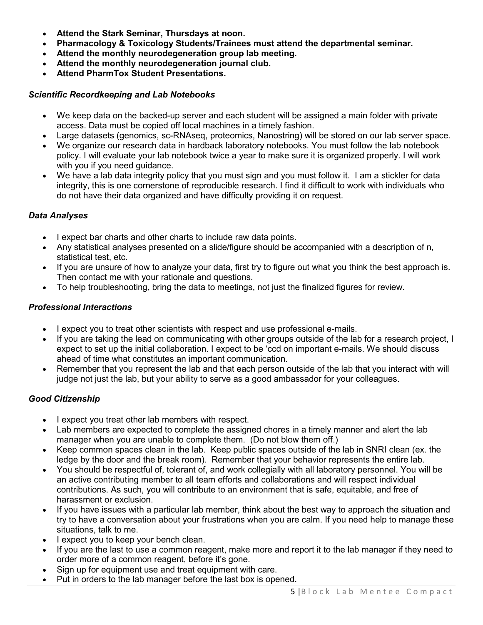- **Attend the Stark Seminar, Thursdays at noon.**
- **Pharmacology & Toxicology Students/Trainees must attend the departmental seminar.**
- **Attend the monthly neurodegeneration group lab meeting.**
- **Attend the monthly neurodegeneration journal club.**
- **Attend PharmTox Student Presentations.**

### *Scientific Recordkeeping and Lab Notebooks*

- We keep data on the backed-up server and each student will be assigned a main folder with private access. Data must be copied off local machines in a timely fashion.
- Large datasets (genomics, sc-RNAseq, proteomics, Nanostring) will be stored on our lab server space.
- We organize our research data in hardback laboratory notebooks. You must follow the lab notebook policy. I will evaluate your lab notebook twice a year to make sure it is organized properly. I will work with you if you need guidance.
- We have a lab data integrity policy that you must sign and you must follow it. I am a stickler for data integrity, this is one cornerstone of reproducible research. I find it difficult to work with individuals who do not have their data organized and have difficulty providing it on request.

## *Data Analyses*

- I expect bar charts and other charts to include raw data points.
- Any statistical analyses presented on a slide/figure should be accompanied with a description of n, statistical test, etc.
- If you are unsure of how to analyze your data, first try to figure out what you think the best approach is. Then contact me with your rationale and questions.
- To help troubleshooting, bring the data to meetings, not just the finalized figures for review.

## *Professional Interactions*

- I expect you to treat other scientists with respect and use professional e-mails.
- If you are taking the lead on communicating with other groups outside of the lab for a research project, I expect to set up the initial collaboration. I expect to be 'ccd on important e-mails. We should discuss ahead of time what constitutes an important communication.
- Remember that you represent the lab and that each person outside of the lab that you interact with will judge not just the lab, but your ability to serve as a good ambassador for your colleagues.

# *Good Citizenship*

- I expect you treat other lab members with respect.
- Lab members are expected to complete the assigned chores in a timely manner and alert the lab manager when you are unable to complete them. (Do not blow them off.)
- Keep common spaces clean in the lab. Keep public spaces outside of the lab in SNRI clean (ex. the ledge by the door and the break room). Remember that your behavior represents the entire lab.
- You should be respectful of, tolerant of, and work collegially with all laboratory personnel. You will be an active contributing member to all team efforts and collaborations and will respect individual contributions. As such, you will contribute to an environment that is safe, equitable, and free of harassment or exclusion.
- If you have issues with a particular lab member, think about the best way to approach the situation and try to have a conversation about your frustrations when you are calm. If you need help to manage these situations, talk to me.
- I expect you to keep your bench clean.
- If you are the last to use a common reagent, make more and report it to the lab manager if they need to order more of a common reagent, before it's gone.
- Sign up for equipment use and treat equipment with care.
- Put in orders to the lab manager before the last box is opened.